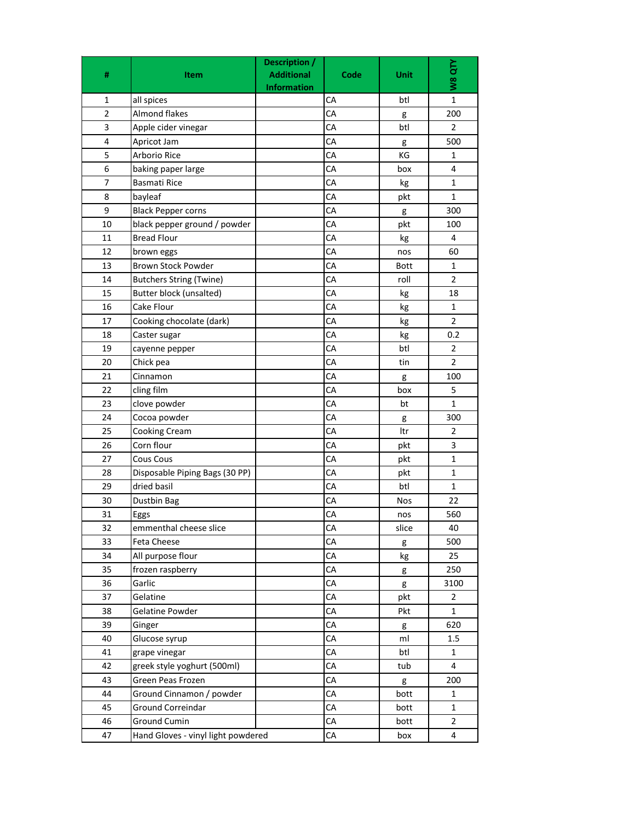| #              | Item                                  | Description /<br><b>Additional</b> | Code       | Unit         | W8 QTY         |
|----------------|---------------------------------------|------------------------------------|------------|--------------|----------------|
|                |                                       | <b>Information</b>                 |            |              |                |
| 1              | all spices                            |                                    | CA         | btl          | $\mathbf{1}$   |
| $\overline{2}$ | Almond flakes                         |                                    | CA         | g            | 200            |
| 3              | Apple cider vinegar                   |                                    | CA         | btl          | $\overline{2}$ |
| 4              | Apricot Jam                           |                                    | CA         | g            | 500            |
| 5              | Arborio Rice                          |                                    | CA         | KG           | 1              |
| 6              | baking paper large                    |                                    | CA         | box          | 4              |
| 7              | <b>Basmati Rice</b>                   |                                    | CA         | kg           | 1              |
| 8              | bayleaf                               |                                    | CA         | pkt          | $\mathbf{1}$   |
| 9              | <b>Black Pepper corns</b>             |                                    | CA         | g            | 300            |
| 10             | black pepper ground / powder          |                                    | CA         | pkt          | 100            |
| 11             | <b>Bread Flour</b>                    |                                    | CA         | kg           | 4              |
| 12             | brown eggs                            |                                    | CA         | nos          | 60             |
| 13             | <b>Brown Stock Powder</b>             |                                    | CA         | Bott         | 1              |
| 14             | <b>Butchers String (Twine)</b>        |                                    | CA         | roll         | $\overline{2}$ |
| 15             | <b>Butter block (unsalted)</b>        |                                    | CA         | kg           | 18             |
| 16             | Cake Flour                            |                                    | CA         | kg           | $\mathbf{1}$   |
| 17             | Cooking chocolate (dark)              |                                    | CA         | kg           | $\overline{2}$ |
| 18             | Caster sugar                          |                                    | CA         | kg           | 0.2            |
| 19             | cayenne pepper                        |                                    | CA         | btl          | 2              |
| 20             | Chick pea                             |                                    | CA         | tin          | 2              |
| 21             | Cinnamon                              |                                    | CA         | g            | 100            |
| 22             | cling film                            |                                    | CA         | box          | 5              |
| 23             | clove powder                          |                                    | CA         | bt           | 1              |
| 24             | Cocoa powder                          |                                    | CA         | g            | 300            |
| 25             | Cooking Cream                         |                                    | CA         | Itr          | $\overline{2}$ |
| 26             | Corn flour                            |                                    | CA         | pkt          | 3              |
| 27             | Cous Cous                             |                                    | CA         | pkt          | 1              |
| 28             | Disposable Piping Bags (30 PP)        |                                    | CA         | pkt          | 1              |
| 29             | dried basil                           |                                    | CA         | btl          | $\mathbf{1}$   |
| 30             | Dustbin Bag                           |                                    | CА         | <b>Nos</b>   | 22             |
| 31             |                                       |                                    | CA         |              | 560            |
|                | Eggs                                  |                                    |            | nos<br>slice | 40             |
| 32<br>33       | emmenthal cheese slice                |                                    | CA<br>СA   |              | 500            |
|                | Feta Cheese                           |                                    | ${\sf CA}$ | g            | 25             |
| 34             | All purpose flour<br>frozen raspberry |                                    | CA         | kg           |                |
| 35             |                                       |                                    |            | g            | 250            |
| 36             | Garlic                                |                                    | CA         | g            | 3100           |
| 37             | Gelatine                              |                                    | СA         | pkt          | 2              |
| 38             | <b>Gelatine Powder</b>                |                                    | СA         | Pkt          | $\mathbf{1}$   |
| 39             | Ginger                                |                                    | CA         | g            | 620            |
| 40             | Glucose syrup                         |                                    | CA         | ml           | 1.5            |
| 41             | grape vinegar                         |                                    | CA         | btl          | 1              |
| 42             | greek style yoghurt (500ml)           |                                    | СA         | tub          | 4              |
| 43             | Green Peas Frozen                     |                                    | CA         | g            | 200            |
| 44             | Ground Cinnamon / powder              |                                    | CA         | bott         | 1              |
| 45             | Ground Correindar                     |                                    | CA         | bott         | $\mathbf 1$    |
| 46             | Ground Cumin                          |                                    | CA         | bott         | $\overline{2}$ |
| 47             | Hand Gloves - vinyl light powdered    |                                    | CA         | box          | 4              |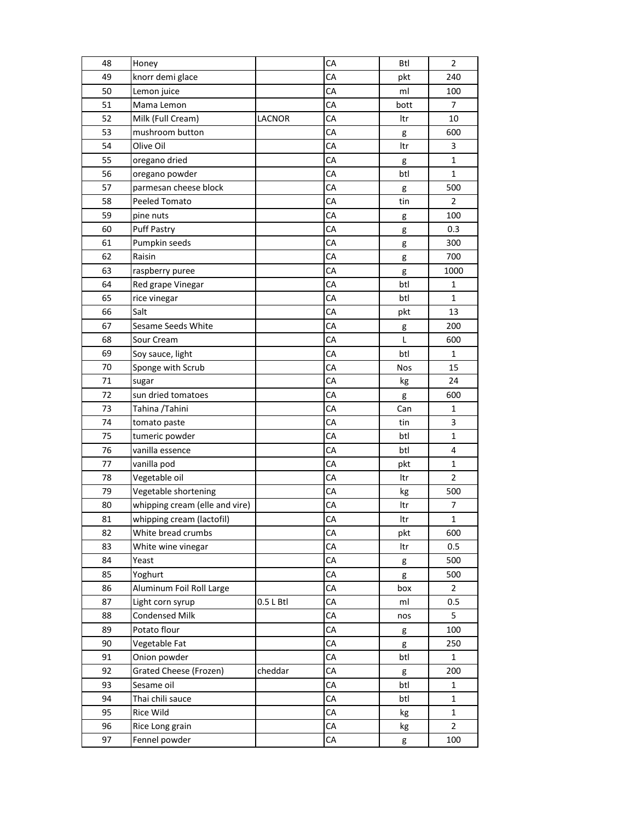| 48 | Honey                          |               | CA | <b>Btl</b> | 2              |
|----|--------------------------------|---------------|----|------------|----------------|
| 49 | knorr demi glace               |               | CA | pkt        | 240            |
| 50 | Lemon juice                    |               | CA | ml         | 100            |
| 51 | Mama Lemon                     |               | CA | bott       | 7              |
| 52 | Milk (Full Cream)              | <b>LACNOR</b> | CA | ltr        | 10             |
| 53 | mushroom button                |               | CA | g          | 600            |
| 54 | Olive Oil                      |               | CA | Itr        | 3              |
| 55 | oregano dried                  |               | CA | g          | 1              |
| 56 | oregano powder                 |               | CA | btl        | 1              |
| 57 | parmesan cheese block          |               | CA | g          | 500            |
| 58 | Peeled Tomato                  |               | CA | tin        | $\overline{2}$ |
| 59 | pine nuts                      |               | CA | g          | 100            |
| 60 | Puff Pastry                    |               | CA | g          | 0.3            |
| 61 | Pumpkin seeds                  |               | CA | g          | 300            |
| 62 | Raisin                         |               | CA | g          | 700            |
| 63 | raspberry puree                |               | CA | g          | 1000           |
| 64 | Red grape Vinegar              |               | CA | btl        | 1              |
| 65 | rice vinegar                   |               | CA | btl        | 1              |
| 66 | Salt                           |               | CA | pkt        | 13             |
| 67 | Sesame Seeds White             |               | CA | g          | 200            |
| 68 | Sour Cream                     |               | CA | Г          | 600            |
| 69 | Soy sauce, light               |               | CA | btl        | 1              |
| 70 | Sponge with Scrub              |               | CA | <b>Nos</b> | 15             |
| 71 | sugar                          |               | CA | kg         | 24             |
| 72 | sun dried tomatoes             |               | CA | g          | 600            |
| 73 | Tahina /Tahini                 |               | CA | Can        | 1              |
| 74 | tomato paste                   |               | CA | tin        | 3              |
| 75 | tumeric powder                 |               | СA | btl        | 1              |
| 76 | vanilla essence                |               | CA | btl        | 4              |
| 77 | vanilla pod                    |               | CA | pkt        | $\mathbf 1$    |
| 78 | Vegetable oil                  |               | CA | ltr        | $\overline{2}$ |
| 79 | Vegetable shortening           |               | CA | kg         | 500            |
| 80 | whipping cream (elle and vire) |               | CA | ltr        | 7              |
| 81 | whipping cream (lactofil)      |               | CA | ltr        | 1              |
| 82 | White bread crumbs             |               | СA | pkt        | 600            |
| 83 | White wine vinegar             |               | CA | ltr        | 0.5            |
| 84 | Yeast                          |               | СA | g          | 500            |
| 85 | Yoghurt                        |               | СA | g          | 500            |
| 86 | Aluminum Foil Roll Large       |               | CA | box        | $\overline{2}$ |
| 87 | Light corn syrup               | 0.5 L Btl     | CA | ml         | 0.5            |
| 88 | <b>Condensed Milk</b>          |               | CA | nos        | 5              |
| 89 | Potato flour                   |               | СA | g          | 100            |
| 90 | Vegetable Fat                  |               | СA | g          | 250            |
| 91 | Onion powder                   |               | CA | btl        | $\mathbf{1}$   |
| 92 | Grated Cheese (Frozen)         | cheddar       | СA | g          | 200            |
| 93 | Sesame oil                     |               | CA | btl        | 1              |
| 94 | Thai chili sauce               |               | СA | btl        | 1              |
| 95 | Rice Wild                      |               | CA | kg         | $\mathbf{1}$   |
| 96 | Rice Long grain                |               | CA | kg         | $\overline{2}$ |
| 97 | Fennel powder                  |               | CA | g          | 100            |